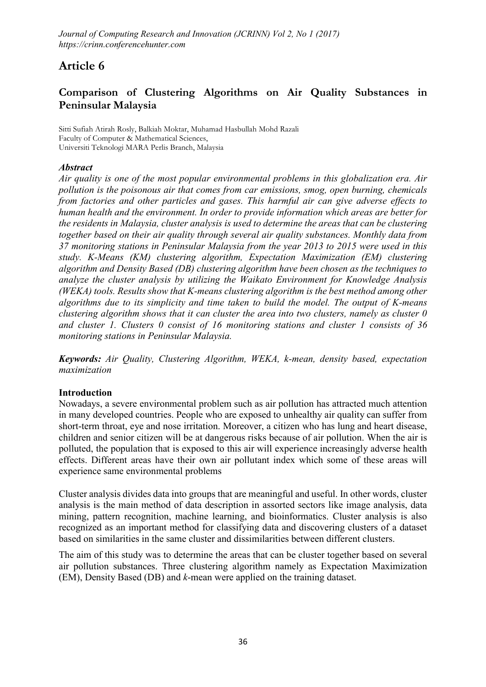# Article 6

# Comparison of Clustering Algorithms on Air Quality Substances in Peninsular Malaysia

**Sitti Sufiah Atirah Rosly, Balkiah Moktar, Muhamad Hasbullah Mohd Razali Faculty of Computer & Mathematical Sciences, Universiti Teknologi MARA Perlis Branch, Malaysia**

### *Abstract*

*Air quality is one of the most popular environmental problems in this globalization era. Air pollution is the poisonous air that comes from car emissions, smog, open burning, chemicals from factories and other particles and gases. This harmful air can give adverse effects to human health and the environment. In order to provide information which areas are better for the residents in Malaysia, cluster analysis is used to determine the areas that can be clustering together based on their air quality through several air quality substances. Monthly data from 37 monitoring stations in Peninsular Malaysia from the year 2013 to 2015 were used in this study. K-Means (KM) clustering algorithm, Expectation Maximization (EM) clustering algorithm and Density Based (DB) clustering algorithm have been chosen as the techniques to analyze the cluster analysis by utilizing the Waikato Environment for Knowledge Analysis (WEKA) tools. Results show that K-means clustering algorithm is the best method among other algorithms due to its simplicity and time taken to build the model. The output of K-means clustering algorithm shows that it can cluster the area into two clusters, namely as cluster 0 and cluster 1. Clusters 0 consist of 16 monitoring stations and cluster 1 consists of 36 monitoring stations in Peninsular Malaysia.*

*Keywords: Air Quality, Clustering Algorithm, WEKA, k-mean, density based, expectation maximization*

### Introduction

Nowadays, a severe environmental problem such as air pollution has attracted much attention in many developed countries. People who are exposed to unhealthy air quality can suffer from short-term throat, eye and nose irritation. Moreover, a citizen who has lung and heart disease, children and senior citizen will be at dangerous risks because of air pollution. When the air is polluted, the population that is exposed to this air will experience increasingly adverse health effects. Different areas have their own air pollutant index which some of these areas will experience same environmental problems

Cluster analysis divides data into groups that are meaningful and useful. In other words, cluster analysis is the main method of data description in assorted sectors like image analysis, data mining, pattern recognition, machine learning, and bioinformatics. Cluster analysis is also recognized as an important method for classifying data and discovering clusters of a dataset based on similarities in the same cluster and dissimilarities between different clusters.

The aim of this study was to determine the areas that can be cluster together based on several air pollution substances. Three clustering algorithm namely as Expectation Maximization (EM), Density Based (DB) and *k*-mean were applied on the training dataset.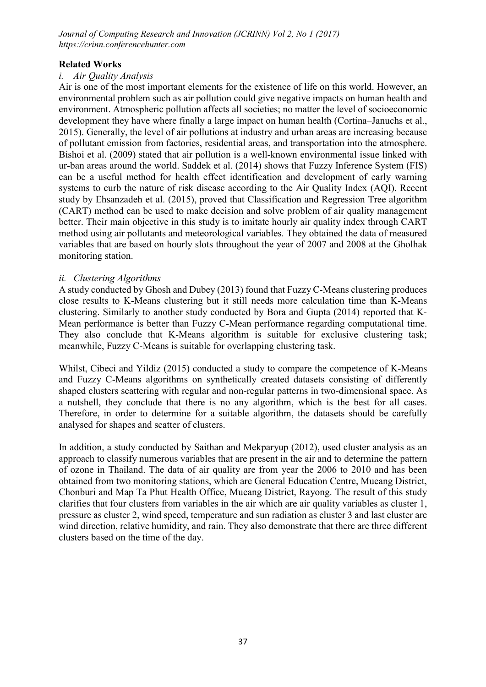### Related Works

### *i. Air Quality Analysis*

Air is one of the most important elements for the existence of life on this world. However, an environmental problem such as air pollution could give negative impacts on human health and environment. Atmospheric pollution affects all societies; no matter the level of socioeconomic development they have where finally a large impact on human health (Cortina–Januchs et al., 2015). Generally, the level of air pollutions at industry and urban areas are increasing because of pollutant emission from factories, residential areas, and transportation into the atmosphere. Bishoi et al. (2009) stated that air pollution is a well-known environmental issue linked with ur-ban areas around the world. Saddek et al. (2014) shows that Fuzzy Inference System (FIS) can be a useful method for health effect identification and development of early warning systems to curb the nature of risk disease according to the Air Quality Index (AQI). Recent study by Ehsanzadeh et al. (2015), proved that Classification and Regression Tree algorithm (CART) method can be used to make decision and solve problem of air quality management better. Their main objective in this study is to imitate hourly air quality index through CART method using air pollutants and meteorological variables. They obtained the data of measured variables that are based on hourly slots throughout the year of 2007 and 2008 at the Gholhak monitoring station.

### *ii. Clustering Algorithms*

A study conducted by Ghosh and Dubey (2013) found that Fuzzy C-Means clustering produces close results to K-Means clustering but it still needs more calculation time than K-Means clustering. Similarly to another study conducted by Bora and Gupta (2014) reported that K-Mean performance is better than Fuzzy C-Mean performance regarding computational time. They also conclude that K-Means algorithm is suitable for exclusive clustering task; meanwhile, Fuzzy C-Means is suitable for overlapping clustering task.

Whilst, Cibeci and Yildiz (2015) conducted a study to compare the competence of K-Means and Fuzzy C-Means algorithms on synthetically created datasets consisting of differently shaped clusters scattering with regular and non-regular patterns in two-dimensional space. As a nutshell, they conclude that there is no any algorithm, which is the best for all cases. Therefore, in order to determine for a suitable algorithm, the datasets should be carefully analysed for shapes and scatter of clusters.

In addition, a study conducted by Saithan and Mekparyup (2012), used cluster analysis as an approach to classify numerous variables that are present in the air and to determine the pattern of ozone in Thailand. The data of air quality are from year the 2006 to 2010 and has been obtained from two monitoring stations, which are General Education Centre, Mueang District, Chonburi and Map Ta Phut Health Office, Mueang District, Rayong. The result of this study clarifies that four clusters from variables in the air which are air quality variables as cluster 1, pressure as cluster 2, wind speed, temperature and sun radiation as cluster 3 and last cluster are wind direction, relative humidity, and rain. They also demonstrate that there are three different clusters based on the time of the day.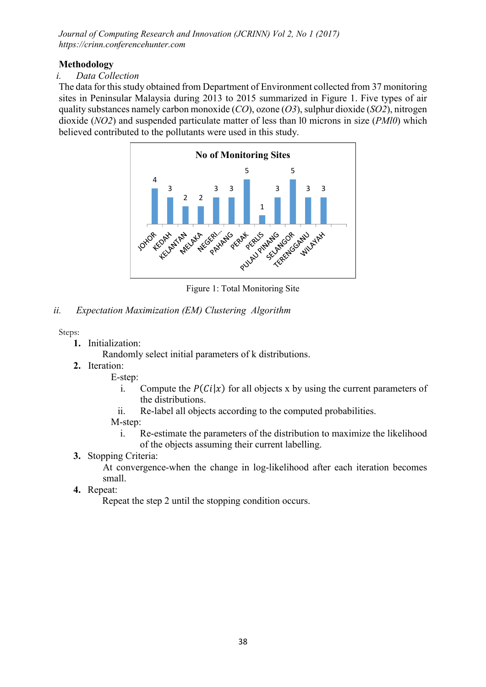# Methodology

# *i. Data Collection*

The data for this study obtained from Department of Environment collected from 37 monitoring sites in Peninsular Malaysia during 2013 to 2015 summarized in Figure 1. Five types of air quality substances namely carbon monoxide (*CO*), ozone (*O3*), sulphur dioxide (*SO2*), nitrogen dioxide (*NO2*) and suspended particulate matter of less than l0 microns in size (*PMl0*) which believed contributed to the pollutants were used in this study.



Figure 1: Total Monitoring Site

# *ii. Expectation Maximization (EM) Clustering Algorithm*

**Steps:**

- 1. Initialization:
	- Randomly select initial parameters of k distributions.
- 2. Iteration:

E-step:

- i. Compute the  $P(C_i|x)$  for all objects x by using the current parameters of the distributions.
- ii. Re-label all objects according to the computed probabilities.

# M-step:

- i. Re-estimate the parameters of the distribution to maximize the likelihood of the objects assuming their current labelling.
- 3. Stopping Criteria:

At convergence-when the change in log-likelihood after each iteration becomes small.

4. Repeat:

Repeat the step 2 until the stopping condition occurs.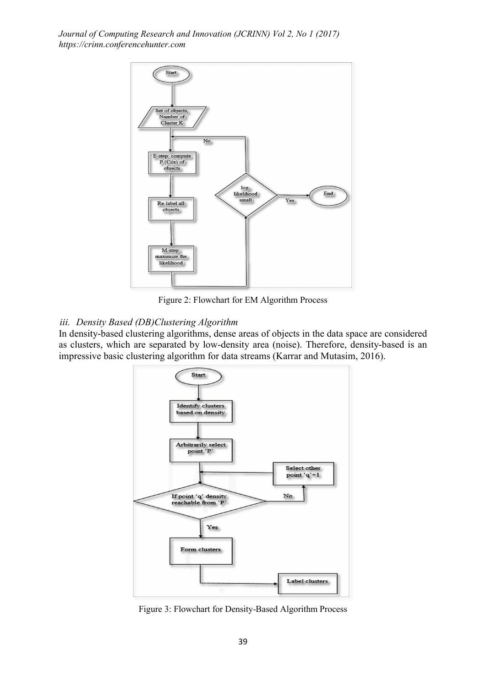

Figure 2: Flowchart for EM Algorithm Process

### *iii. Density Based (DB)Clustering Algorithm*

In density-based clustering algorithms, dense areas of objects in the data space are considered as clusters, which are separated by low-density area (noise). Therefore, density-based is an impressive basic clustering algorithm for data streams (Karrar and Mutasim, 2016).



Figure 3: Flowchart for Density-Based Algorithm Process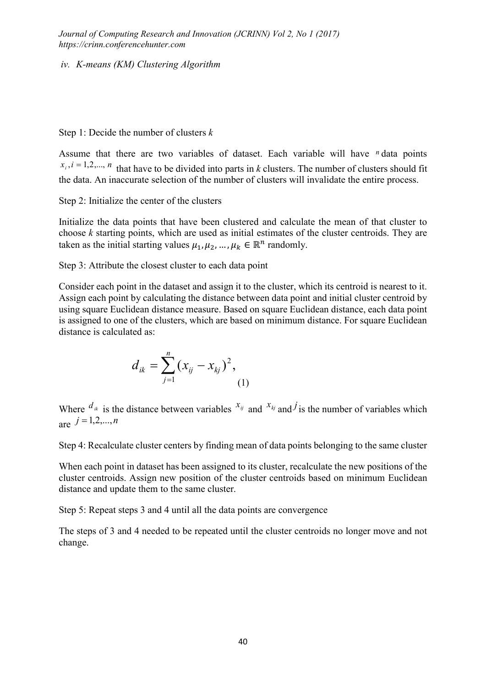*iv. K-means (KM) Clustering Algorithm*

### Step 1: Decide the number of clusters *k*

Assume that there are two variables of dataset. Each variable will have *n* data points  $x_i$ ,  $i = 1,2,..., n$  that have to be divided into parts in *k* clusters. The number of clusters should fit the data. An inaccurate selection of the number of clusters will invalidate the entire process.

Step 2: Initialize the center of the clusters

Initialize the data points that have been clustered and calculate the mean of that cluster to choose *k* starting points, which are used as initial estimates of the cluster centroids. They are taken as the initial starting values  $\mu_1, \mu_2, ..., \mu_k \in \mathbb{R}^n$  randomly.

Step 3: Attribute the closest cluster to each data point

Consider each point in the dataset and assign it to the cluster, which its centroid is nearest to it. Assign each point by calculating the distance between data point and initial cluster centroid by using square Euclidean distance measure. Based on square Euclidean distance, each data point is assigned to one of the clusters, which are based on minimum distance. For square Euclidean distance is calculated as:

$$
d_{ik} = \sum_{j=1}^{n} (x_{ij} - x_{kj})^2,
$$
 (1)

Where  $d_{ik}$  is the distance between variables  $x_{ij}$  and  $x_{kj}$  and *j* is the number of variables which  $i = 1, 2, ..., n$ 

Step 4: Recalculate cluster centers by finding mean of data points belonging to the same cluster

When each point in dataset has been assigned to its cluster, recalculate the new positions of the cluster centroids. Assign new position of the cluster centroids based on minimum Euclidean distance and update them to the same cluster.

Step 5: Repeat steps 3 and 4 until all the data points are convergence

The steps of 3 and 4 needed to be repeated until the cluster centroids no longer move and not change.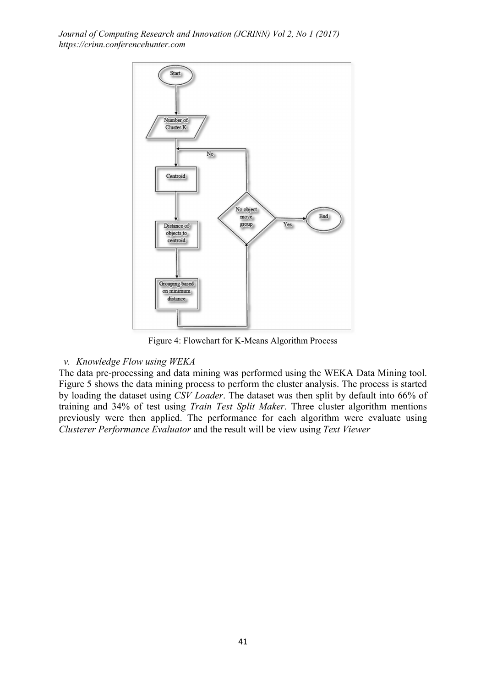

Figure 4: Flowchart for K-Means Algorithm Process

### *v. Knowledge Flow using WEKA*

The data pre-processing and data mining was performed using the WEKA Data Mining tool. Figure 5 shows the data mining process to perform the cluster analysis. The process is started by loading the dataset using *CSV Loader*. The dataset was then split by default into 66% of training and 34% of test using *Train Test Split Maker*. Three cluster algorithm mentions previously were then applied. The performance for each algorithm were evaluate using *Clusterer Performance Evaluator* and the result will be view using *Text Viewer*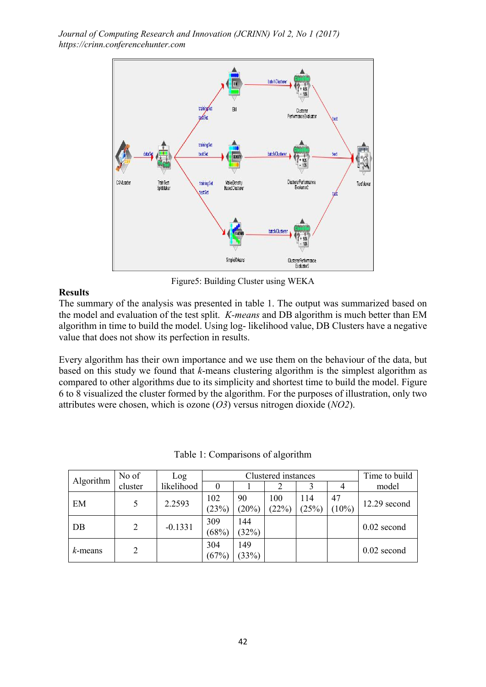

Figure5: Building Cluster using WEKA

### Results

The summary of the analysis was presented in table 1. The output was summarized based on the model and evaluation of the test split. *K-means* and DB algorithm is much better than EM algorithm in time to build the model. Using log- likelihood value, DB Clusters have a negative value that does not show its perfection in results.

Every algorithm has their own importance and we use them on the behaviour of the data, but based on this study we found that *k*-means clustering algorithm is the simplest algorithm as compared to other algorithms due to its simplicity and shortest time to build the model. Figure 6 to 8 visualized the cluster formed by the algorithm. For the purposes of illustration, only two attributes were chosen, which is ozone (*O3*) versus nitrogen dioxide (*NO2*).

| Algorithm  | No of   | Log        | Clustered instances |              |              |              |                | Time to build  |
|------------|---------|------------|---------------------|--------------|--------------|--------------|----------------|----------------|
|            | cluster | likelihood |                     |              |              |              |                | model          |
| EM         |         | 2.2593     | 102<br>(23%)        | 90<br>(20%)  | 100<br>(22%) | 114<br>(25%) | 47<br>$(10\%)$ | $12.29$ second |
| DB         | 2       | $-0.1331$  | 309<br>(68%)        | 144<br>(32%) |              |              |                | $0.02$ second  |
| $k$ -means | 2       |            | 304<br>(67%)        | 149<br>(33%) |              |              |                | $0.02$ second  |

Table 1: Comparisons of algorithm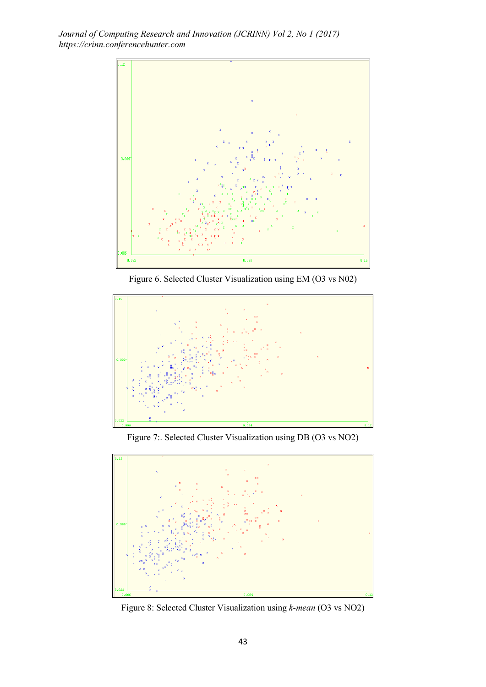

Figure 6. Selected Cluster Visualization using EM (O3 vs N02)



Figure 7:. Selected Cluster Visualization using DB (O3 vs NO2)



Figure 8: Selected Cluster Visualization using *k-mean* (O3 vs NO2)